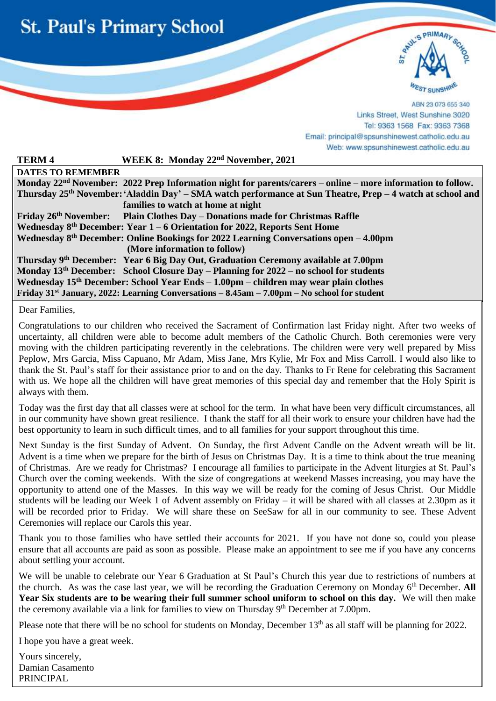



ABN 23 073 655 340 Links Street, West Sunshine 3020 Tel: 9363 1568 Fax: 9363 7368 Email: principal@spsunshinewest.catholic.edu.au Web: www.spsunshinewest.catholic.edu.au

| <b>TERM4</b>                                                                                     | WEEK 8: Monday 22 <sup>nd</sup> November, 2021                                                                          |
|--------------------------------------------------------------------------------------------------|-------------------------------------------------------------------------------------------------------------------------|
| <b>DATES TO REMEMBER</b>                                                                         |                                                                                                                         |
|                                                                                                  | Monday 22 <sup>nd</sup> November: 2022 Prep Information night for parents/carers – online – more information to follow. |
|                                                                                                  | Thursday 25 <sup>th</sup> November: 'Aladdin Day' – SMA watch performance at Sun Theatre, Prep – 4 watch at school and  |
|                                                                                                  | families to watch at home at night                                                                                      |
|                                                                                                  | Friday 26 <sup>th</sup> November: Plain Clothes Day – Donations made for Christmas Raffle                               |
| Wednesday $8th$ December: Year 1 – 6 Orientation for 2022, Reports Sent Home                     |                                                                                                                         |
| Wednesday $8th$ December: Online Bookings for 2022 Learning Conversations open $-4.00$ pm        |                                                                                                                         |
|                                                                                                  | (More information to follow)                                                                                            |
|                                                                                                  | Thursday 9th December: Year 6 Big Day Out, Graduation Ceremony available at 7.00pm                                      |
|                                                                                                  | Monday $13th$ December: School Closure Day – Planning for $2022$ – no school for students                               |
| Wednesday 15 <sup>th</sup> December: School Year Ends – 1.00pm – children may wear plain clothes |                                                                                                                         |
|                                                                                                  | Friday 31 <sup>st</sup> January, 2022: Learning Conversations $-8.45$ am $-7.00$ pm $-$ No school for student           |

Dear Families,

i

Congratulations to our children who received the Sacrament of Confirmation last Friday night. After two weeks of uncertainty, all children were able to become adult members of the Catholic Church. Both ceremonies were very moving with the children participating reverently in the celebrations. The children were very well prepared by Miss Peplow, Mrs Garcia, Miss Capuano, Mr Adam, Miss Jane, Mrs Kylie, Mr Fox and Miss Carroll. I would also like to thank the St. Paul's staff for their assistance prior to and on the day. Thanks to Fr Rene for celebrating this Sacrament with us. We hope all the children will have great memories of this special day and remember that the Holy Spirit is always with them.

Today was the first day that all classes were at school for the term. In what have been very difficult circumstances, all in our community have shown great resilience. I thank the staff for all their work to ensure your children have had the best opportunity to learn in such difficult times, and to all families for your support throughout this time.

Next Sunday is the first Sunday of Advent. On Sunday, the first Advent Candle on the Advent wreath will be lit. Advent is a time when we prepare for the birth of Jesus on Christmas Day. It is a time to think about the true meaning of Christmas. Are we ready for Christmas? I encourage all families to participate in the Advent liturgies at St. Paul's Church over the coming weekends. With the size of congregations at weekend Masses increasing, you may have the opportunity to attend one of the Masses. In this way we will be ready for the coming of Jesus Christ. Our Middle students will be leading our Week 1 of Advent assembly on Friday – it will be shared with all classes at 2.30pm as it will be recorded prior to Friday. We will share these on SeeSaw for all in our community to see. These Advent Ceremonies will replace our Carols this year.

Thank you to those families who have settled their accounts for 2021. If you have not done so, could you please ensure that all accounts are paid as soon as possible. Please make an appointment to see me if you have any concerns about settling your account.

We will be unable to celebrate our Year 6 Graduation at St Paul's Church this year due to restrictions of numbers at the church. As was the case last year, we will be recording the Graduation Ceremony on Monday 6<sup>th</sup> December. All **Year Six students are to be wearing their full summer school uniform to school on this day.** We will then make the ceremony available via a link for families to view on Thursday 9<sup>th</sup> December at 7.00pm.

Please note that there will be no school for students on Monday, December  $13<sup>th</sup>$  as all staff will be planning for 2022.

I hope you have a great week.

Yours sincerely, Damian Casamento PRINCIPAL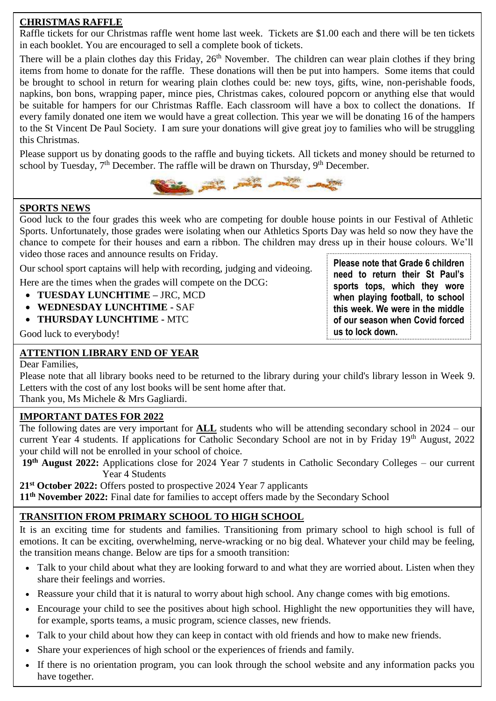## **CHRISTMAS RAFFLE**

Raffle tickets for our Christmas raffle went home last week. Tickets are \$1.00 each and there will be ten tickets in each booklet. You are encouraged to sell a complete book of tickets.

There will be a plain clothes day this Friday, 26<sup>th</sup> November. The children can wear plain clothes if they bring items from home to donate for the raffle. These donations will then be put into hampers. Some items that could be brought to school in return for wearing plain clothes could be: new toys, gifts, wine, non-perishable foods, napkins, bon bons, wrapping paper, mince pies, Christmas cakes, coloured popcorn or anything else that would be suitable for hampers for our Christmas Raffle. Each classroom will have a box to collect the donations. If every family donated one item we would have a great collection. This year we will be donating 16 of the hampers to the St Vincent De Paul Society. I am sure your donations will give great joy to families who will be struggling this Christmas.

Please support us by donating goods to the raffle and buying tickets. All tickets and money should be returned to school by Tuesday,  $7<sup>th</sup>$  December. The raffle will be drawn on Thursday,  $9<sup>th</sup>$  December.



#### **SPORTS NEWS**

Good luck to the four grades this week who are competing for double house points in our Festival of Athletic Sports. Unfortunately, those grades were isolating when our Athletics Sports Day was held so now they have the chance to compete for their houses and earn a ribbon. The children may dress up in their house colours. We'll video those races and announce results on Friday.

Our school sport captains will help with recording, judging and videoing.

Here are the times when the grades will compete on the DCG:

- **TUESDAY LUNCHTIME –** JRC, MCD
- **WEDNESDAY LUNCHTIME -** SAF
- **THURSDAY LUNCHTIME -** MTC

Good luck to everybody!

## **ATTENTION LIBRARY END OF YEAR**

Dear Families,

 Please note that all library books need to be returned to the library during your child's library lesson in Week 9. Letters with the cost of any lost books will be sent home after that.

Thank you, Ms Michele & Mrs Gagliardi.

#### **IMPORTANT DATES FOR 2022**

The following dates are very important for **ALL** students who will be attending secondary school in 2024 – our current Year 4 students. If applications for Catholic Secondary School are not in by Friday 19<sup>th</sup> August, 2022 your child will not be enrolled in your school of choice.

**19th August 2022:** Applications close for 2024 Year 7 students in Catholic Secondary Colleges – our current Year 4 Students

**21st October 2022:** Offers posted to prospective 2024 Year 7 applicants

**11th November 2022:** Final date for families to accept offers made by the Secondary School

## **TRANSITION FROM PRIMARY SCHOOL TO HIGH SCHOOL**

It is an exciting time for students and families. Transitioning from primary school to high school is full of emotions. It can be exciting, overwhelming, nerve-wracking or no big deal. Whatever your child may be feeling, the transition means change. Below are tips for a smooth transition:

- Talk to your child about what they are looking forward to and what they are worried about. Listen when they share their feelings and worries.
- Reassure your child that it is natural to worry about high school. Any change comes with big emotions.
- Encourage your child to see the positives about high school. Highlight the new opportunities they will have, for example, sports teams, a music program, science classes, new friends.
- Talk to your child about how they can keep in contact with old friends and how to make new friends.
- Share your experiences of high school or the experiences of friends and family.
- If there is no orientation program, you can look through the school website and any information packs you have together.

**Please note that Grade 6 children need to return their St Paul's sports tops, which they wore when playing football, to school this week. We were in the middle of our season when Covid forced us to lock down.**